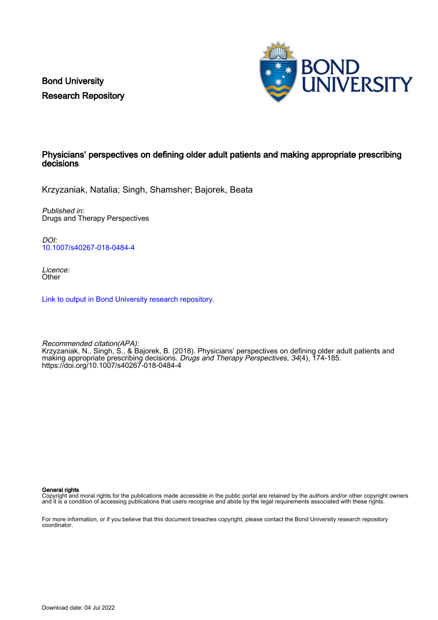Bond University Research Repository



## Physicians' perspectives on defining older adult patients and making appropriate prescribing decisions

Krzyzaniak, Natalia; Singh, Shamsher; Bajorek, Beata

Published in: Drugs and Therapy Perspectives

DOI: [10.1007/s40267-018-0484-4](https://doi.org/10.1007/s40267-018-0484-4)

Licence: **Other** 

[Link to output in Bond University research repository.](https://research.bond.edu.au/en/publications/40fec3c7-99d9-4dfd-896e-c067997d2a4a)

Recommended citation(APA): Krzyzaniak, N., Singh, S., & Bajorek, B. (2018). Physicians' perspectives on defining older adult patients and making appropriate prescribing decisions. *Drugs and Therapy Perspectives, 34*(4), 174-185. <https://doi.org/10.1007/s40267-018-0484-4>

General rights

Copyright and moral rights for the publications made accessible in the public portal are retained by the authors and/or other copyright owners and it is a condition of accessing publications that users recognise and abide by the legal requirements associated with these rights.

For more information, or if you believe that this document breaches copyright, please contact the Bond University research repository coordinator.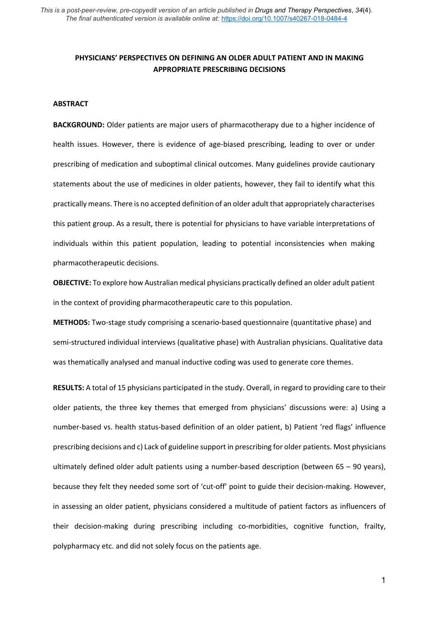# **PHYSICIANS' PERSPECTIVES ON DEFINING AN OLDER ADULT PATIENT AND IN MAKING APPROPRIATE PRESCRIBING DECISIONS**

#### **ABSTRACT**

**BACKGROUND:** Older patients are major users of pharmacotherapy due to a higher incidence of health issues. However, there is evidence of age-biased prescribing, leading to over or under prescribing of medication and suboptimal clinical outcomes. Many guidelines provide cautionary statements about the use of medicines in older patients, however, they fail to identify what this practically means. There is no accepted definition of an older adult that appropriately characterises this patient group. As a result, there is potential for physicians to have variable interpretations of individuals within this patient population, leading to potential inconsistencies when making pharmacotherapeutic decisions.

**OBJECTIVE:** To explore how Australian medical physicians practically defined an older adult patient in the context of providing pharmacotherapeutic care to this population.

**METHODS:** Two-stage study comprising a scenario-based questionnaire (quantitative phase) and semi-structured individual interviews (qualitative phase) with Australian physicians. Qualitative data was thematically analysed and manual inductive coding was used to generate core themes.

**RESULTS:** A total of 15 physicians participated in the study. Overall, in regard to providing care to their older patients, the three key themes that emerged from physicians' discussions were: a) Using a number-based vs. health status-based definition of an older patient, b) Patient 'red flags' influence prescribing decisions and c) Lack of guideline support in prescribing for older patients. Most physicians ultimately defined older adult patients using a number-based description (between 65 – 90 years), because they felt they needed some sort of 'cut-off' point to guide their decision-making. However, in assessing an older patient, physicians considered a multitude of patient factors as influencers of their decision-making during prescribing including co-morbidities, cognitive function, frailty, polypharmacy etc. and did not solely focus on the patients age.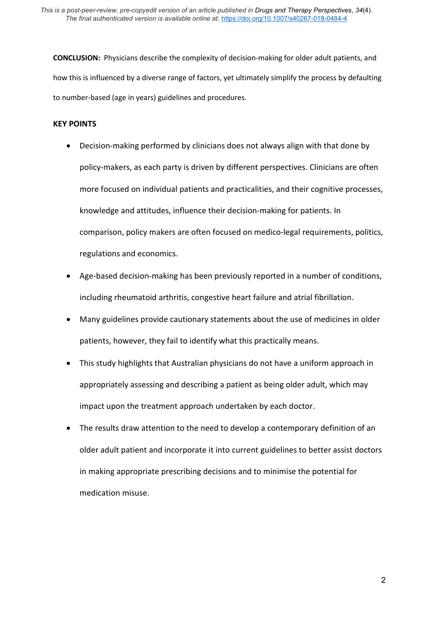**CONCLUSION:** Physicians describe the complexity of decision-making for older adult patients, and how this is influenced by a diverse range of factors, yet ultimately simplify the process by defaulting to number-based (age in years) guidelines and procedures.

### **KEY POINTS**

- Decision-making performed by clinicians does not always align with that done by policy-makers, as each party is driven by different perspectives. Clinicians are often more focused on individual patients and practicalities, and their cognitive processes, knowledge and attitudes, influence their decision-making for patients. In comparison, policy makers are often focused on medico-legal requirements, politics, regulations and economics.
- Age-based decision-making has been previously reported in a number of conditions, including rheumatoid arthritis, congestive heart failure and atrial fibrillation.
- Many guidelines provide cautionary statements about the use of medicines in older patients, however, they fail to identify what this practically means.
- This study highlights that Australian physicians do not have a uniform approach in appropriately assessing and describing a patient as being older adult, which may impact upon the treatment approach undertaken by each doctor.
- The results draw attention to the need to develop a contemporary definition of an older adult patient and incorporate it into current guidelines to better assist doctors in making appropriate prescribing decisions and to minimise the potential for medication misuse.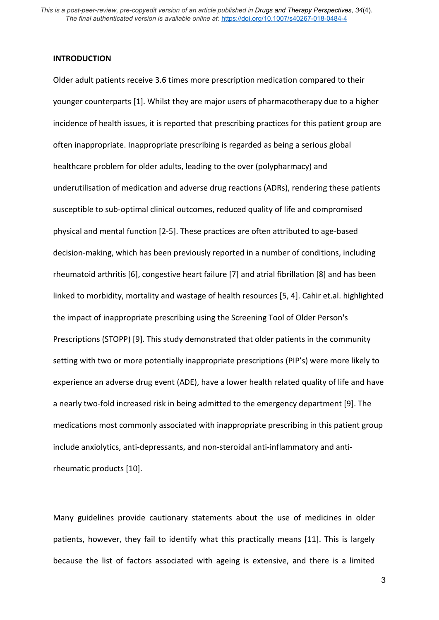### **INTRODUCTION**

Older adult patients receive 3.6 times more prescription medication compared to their younger counterparts [1]. Whilst they are major users of pharmacotherapy due to a higher incidence of health issues, it is reported that prescribing practices for this patient group are often inappropriate. Inappropriate prescribing is regarded as being a serious global healthcare problem for older adults, leading to the over (polypharmacy) and underutilisation of medication and adverse drug reactions (ADRs), rendering these patients susceptible to sub-optimal clinical outcomes, reduced quality of life and compromised physical and mental function [2-5]. These practices are often attributed to age-based decision-making, which has been previously reported in a number of conditions, including rheumatoid arthritis [6], congestive heart failure [7] and atrial fibrillation [8] and has been linked to morbidity, mortality and wastage of health resources [5, 4]. Cahir et.al. highlighted the impact of inappropriate prescribing using the Screening Tool of Older Person's Prescriptions (STOPP) [9]. This study demonstrated that older patients in the community setting with two or more potentially inappropriate prescriptions (PIP's) were more likely to experience an adverse drug event (ADE), have a lower health related quality of life and have a nearly two-fold increased risk in being admitted to the emergency department [9]. The medications most commonly associated with inappropriate prescribing in this patient group include anxiolytics, anti-depressants, and non-steroidal anti-inflammatory and antirheumatic products [10].

Many guidelines provide cautionary statements about the use of medicines in older patients, however, they fail to identify what this practically means [11]. This is largely because the list of factors associated with ageing is extensive, and there is a limited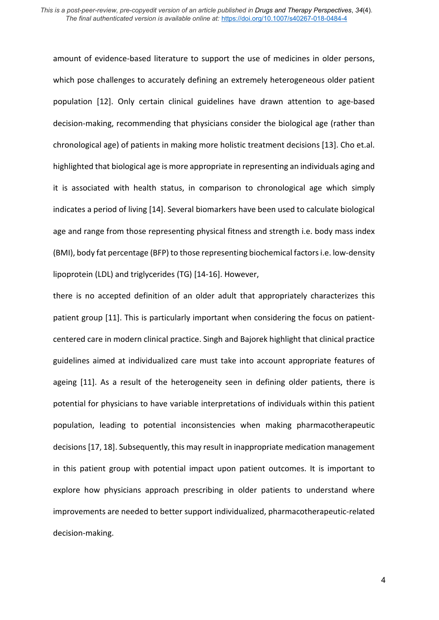amount of evidence-based literature to support the use of medicines in older persons, which pose challenges to accurately defining an extremely heterogeneous older patient population [12]. Only certain clinical guidelines have drawn attention to age-based decision-making, recommending that physicians consider the biological age (rather than chronological age) of patients in making more holistic treatment decisions [13]. Cho et.al. highlighted that biological age is more appropriate in representing an individuals aging and it is associated with health status, in comparison to chronological age which simply indicates a period of living [14]. Several biomarkers have been used to calculate biological age and range from those representing physical fitness and strength i.e. body mass index (BMI), body fat percentage (BFP) to those representing biochemical factors i.e. low-density lipoprotein (LDL) and triglycerides (TG) [14-16]. However,

there is no accepted definition of an older adult that appropriately characterizes this patient group [11]. This is particularly important when considering the focus on patientcentered care in modern clinical practice. Singh and Bajorek highlight that clinical practice guidelines aimed at individualized care must take into account appropriate features of ageing [11]. As a result of the heterogeneity seen in defining older patients, there is potential for physicians to have variable interpretations of individuals within this patient population, leading to potential inconsistencies when making pharmacotherapeutic decisions[17, 18]. Subsequently, this may result in inappropriate medication management in this patient group with potential impact upon patient outcomes. It is important to explore how physicians approach prescribing in older patients to understand where improvements are needed to better support individualized, pharmacotherapeutic-related decision-making.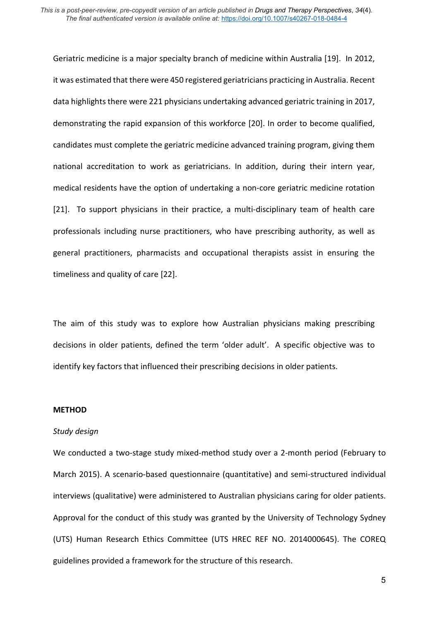Geriatric medicine is a major specialty branch of medicine within Australia [19]. In 2012, it was estimated that there were 450 registered geriatricians practicing in Australia. Recent data highlights there were 221 physicians undertaking advanced geriatric training in 2017, demonstrating the rapid expansion of this workforce [20]. In order to become qualified, candidates must complete the geriatric medicine advanced training program, giving them national accreditation to work as geriatricians. In addition, during their intern year, medical residents have the option of undertaking a non-core geriatric medicine rotation [21]. To support physicians in their practice, a multi-disciplinary team of health care professionals including nurse practitioners, who have prescribing authority, as well as general practitioners, pharmacists and occupational therapists assist in ensuring the timeliness and quality of care [22].

The aim of this study was to explore how Australian physicians making prescribing decisions in older patients, defined the term 'older adult'. A specific objective was to identify key factors that influenced their prescribing decisions in older patients.

### **METHOD**

### *Study design*

We conducted a two-stage study mixed-method study over a 2-month period (February to March 2015). A scenario-based questionnaire (quantitative) and semi-structured individual interviews (qualitative) were administered to Australian physicians caring for older patients. Approval for the conduct of this study was granted by the University of Technology Sydney (UTS) Human Research Ethics Committee (UTS HREC REF NO. 2014000645). The COREQ guidelines provided a framework for the structure of this research.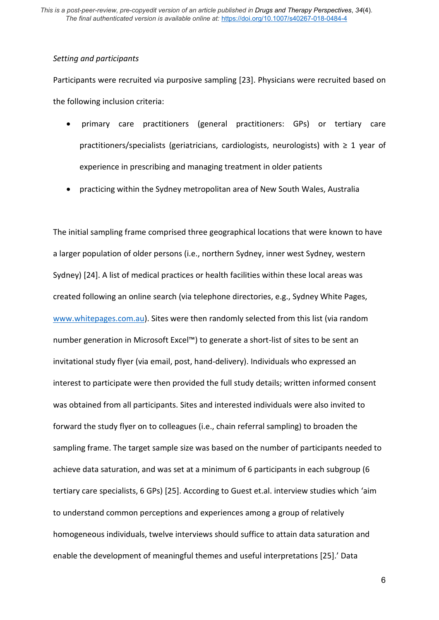### *Setting and participants*

Participants were recruited via purposive sampling [23]. Physicians were recruited based on the following inclusion criteria:

- primary care practitioners (general practitioners: GPs) or tertiary care practitioners/specialists (geriatricians, cardiologists, neurologists) with  $\geq 1$  year of experience in prescribing and managing treatment in older patients
- practicing within the Sydney metropolitan area of New South Wales, Australia

The initial sampling frame comprised three geographical locations that were known to have a larger population of older persons (i.e., northern Sydney, inner west Sydney, western Sydney) [24]. A list of medical practices or health facilities within these local areas was created following an online search (via telephone directories, e.g., Sydney White Pages, [www.whitepages.com.au\)](http://www.whitepages.com.au/). Sites were then randomly selected from this list (via random number generation in Microsoft Excel™) to generate a short-list of sites to be sent an invitational study flyer (via email, post, hand-delivery). Individuals who expressed an interest to participate were then provided the full study details; written informed consent was obtained from all participants. Sites and interested individuals were also invited to forward the study flyer on to colleagues (i.e., chain referral sampling) to broaden the sampling frame. The target sample size was based on the number of participants needed to achieve data saturation, and was set at a minimum of 6 participants in each subgroup (6 tertiary care specialists, 6 GPs) [25]. According to Guest et.al. interview studies which 'aim to understand common perceptions and experiences among a group of relatively homogeneous individuals, twelve interviews should suffice to attain data saturation and enable the development of meaningful themes and useful interpretations [25].' Data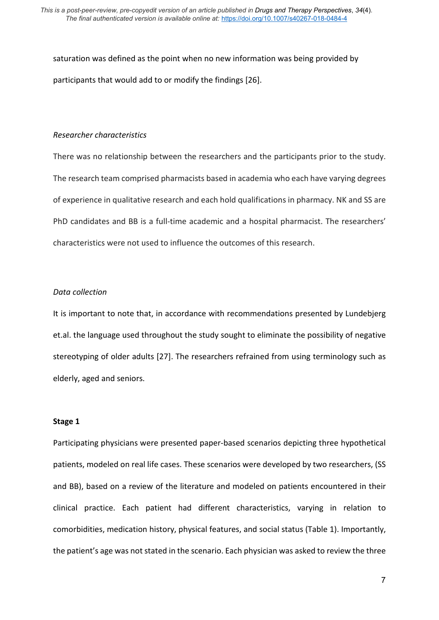saturation was defined as the point when no new information was being provided by participants that would add to or modify the findings [26].

#### *Researcher characteristics*

There was no relationship between the researchers and the participants prior to the study. The research team comprised pharmacists based in academia who each have varying degrees of experience in qualitative research and each hold qualifications in pharmacy. NK and SS are PhD candidates and BB is a full-time academic and a hospital pharmacist. The researchers' characteristics were not used to influence the outcomes of this research.

### *Data collection*

It is important to note that, in accordance with recommendations presented by Lundebjerg et.al. the language used throughout the study sought to eliminate the possibility of negative stereotyping of older adults [27]. The researchers refrained from using terminology such as elderly, aged and seniors.

#### **Stage 1**

Participating physicians were presented paper-based scenarios depicting three hypothetical patients, modeled on real life cases. These scenarios were developed by two researchers, (SS and BB), based on a review of the literature and modeled on patients encountered in their clinical practice. Each patient had different characteristics, varying in relation to comorbidities, medication history, physical features, and social status (Table 1). Importantly, the patient's age was not stated in the scenario. Each physician was asked to review the three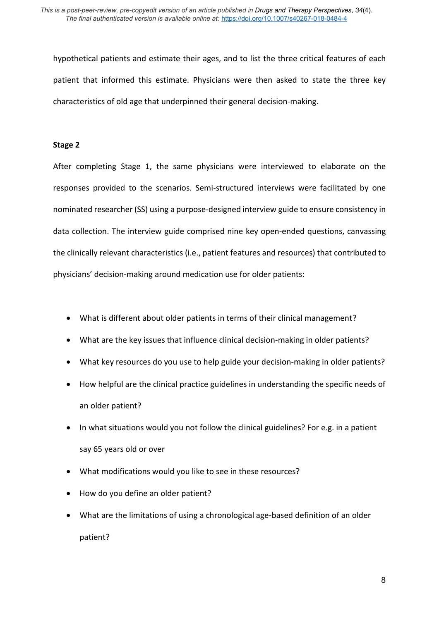hypothetical patients and estimate their ages, and to list the three critical features of each patient that informed this estimate. Physicians were then asked to state the three key characteristics of old age that underpinned their general decision-making.

#### **Stage 2**

After completing Stage 1, the same physicians were interviewed to elaborate on the responses provided to the scenarios. Semi-structured interviews were facilitated by one nominated researcher (SS) using a purpose-designed interview guide to ensure consistency in data collection. The interview guide comprised nine key open-ended questions, canvassing the clinically relevant characteristics (i.e., patient features and resources) that contributed to physicians' decision-making around medication use for older patients:

- What is different about older patients in terms of their clinical management?
- What are the key issues that influence clinical decision-making in older patients?
- What key resources do you use to help guide your decision-making in older patients?
- How helpful are the clinical practice guidelines in understanding the specific needs of an older patient?
- In what situations would you not follow the clinical guidelines? For e.g. in a patient say 65 years old or over
- What modifications would you like to see in these resources?
- How do you define an older patient?
- What are the limitations of using a chronological age-based definition of an older patient?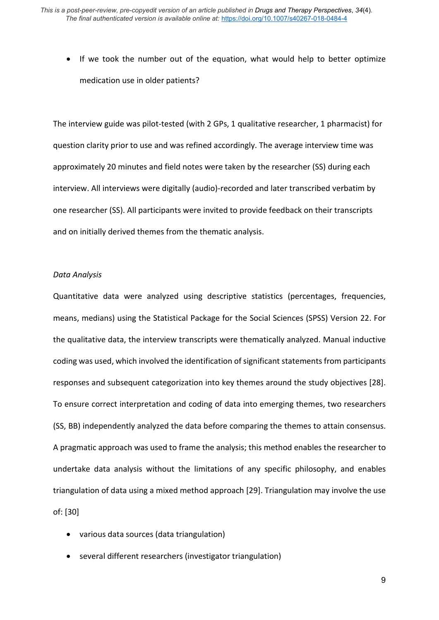• If we took the number out of the equation, what would help to better optimize medication use in older patients?

The interview guide was pilot-tested (with 2 GPs, 1 qualitative researcher, 1 pharmacist) for question clarity prior to use and was refined accordingly. The average interview time was approximately 20 minutes and field notes were taken by the researcher (SS) during each interview. All interviews were digitally (audio)-recorded and later transcribed verbatim by one researcher (SS). All participants were invited to provide feedback on their transcripts and on initially derived themes from the thematic analysis.

#### *Data Analysis*

Quantitative data were analyzed using descriptive statistics (percentages, frequencies, means, medians) using the Statistical Package for the Social Sciences (SPSS) Version 22. For the qualitative data, the interview transcripts were thematically analyzed. Manual inductive coding was used, which involved the identification of significant statements from participants responses and subsequent categorization into key themes around the study objectives [28]. To ensure correct interpretation and coding of data into emerging themes, two researchers (SS, BB) independently analyzed the data before comparing the themes to attain consensus. A pragmatic approach was used to frame the analysis; this method enables the researcher to undertake data analysis without the limitations of any specific philosophy, and enables triangulation of data using a mixed method approach [29]. Triangulation may involve the use of: [30]

- various data sources (data triangulation)
- several different researchers (investigator triangulation)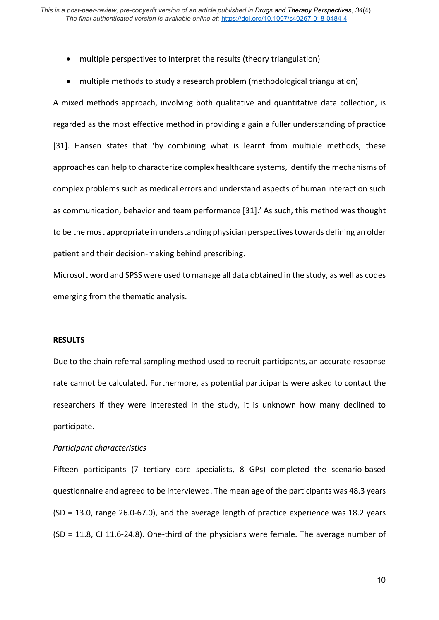- multiple perspectives to interpret the results (theory triangulation)
- multiple methods to study a research problem (methodological triangulation)

A mixed methods approach, involving both qualitative and quantitative data collection, is regarded as the most effective method in providing a gain a fuller understanding of practice [31]. Hansen states that 'by combining what is learnt from multiple methods, these approaches can help to characterize complex healthcare systems, identify the mechanisms of complex problems such as medical errors and understand aspects of human interaction such as communication, behavior and team performance [31].' As such, this method was thought to be the most appropriate in understanding physician perspectives towards defining an older patient and their decision-making behind prescribing.

Microsoft word and SPSS were used to manage all data obtained in the study, as well as codes emerging from the thematic analysis.

#### **RESULTS**

Due to the chain referral sampling method used to recruit participants, an accurate response rate cannot be calculated. Furthermore, as potential participants were asked to contact the researchers if they were interested in the study, it is unknown how many declined to participate.

#### *Participant characteristics*

Fifteen participants (7 tertiary care specialists, 8 GPs) completed the scenario-based questionnaire and agreed to be interviewed. The mean age of the participants was 48.3 years (SD = 13.0, range 26.0-67.0), and the average length of practice experience was 18.2 years (SD = 11.8, CI 11.6-24.8). One-third of the physicians were female. The average number of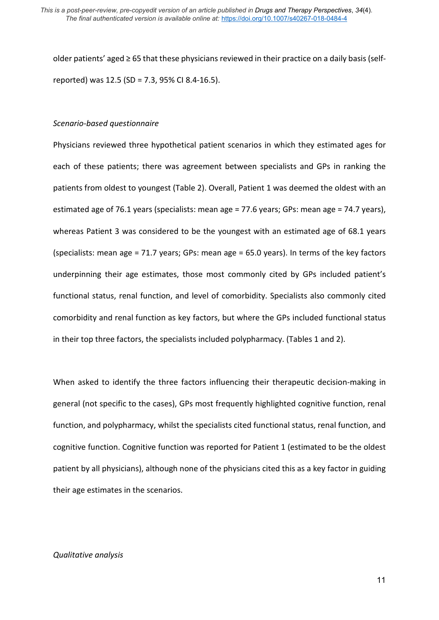older patients' aged ≥ 65 that these physicians reviewed in their practice on a daily basis (selfreported) was 12.5 (SD = 7.3, 95% CI 8.4-16.5).

#### *Scenario-based questionnaire*

Physicians reviewed three hypothetical patient scenarios in which they estimated ages for each of these patients; there was agreement between specialists and GPs in ranking the patients from oldest to youngest (Table 2). Overall, Patient 1 was deemed the oldest with an estimated age of 76.1 years (specialists: mean age = 77.6 years; GPs: mean age = 74.7 years), whereas Patient 3 was considered to be the youngest with an estimated age of 68.1 years (specialists: mean age = 71.7 years; GPs: mean age = 65.0 years). In terms of the key factors underpinning their age estimates, those most commonly cited by GPs included patient's functional status, renal function, and level of comorbidity. Specialists also commonly cited comorbidity and renal function as key factors, but where the GPs included functional status in their top three factors, the specialists included polypharmacy. (Tables 1 and 2).

When asked to identify the three factors influencing their therapeutic decision-making in general (not specific to the cases), GPs most frequently highlighted cognitive function, renal function, and polypharmacy, whilst the specialists cited functional status, renal function, and cognitive function. Cognitive function was reported for Patient 1 (estimated to be the oldest patient by all physicians), although none of the physicians cited this as a key factor in guiding their age estimates in the scenarios.

### *Qualitative analysis*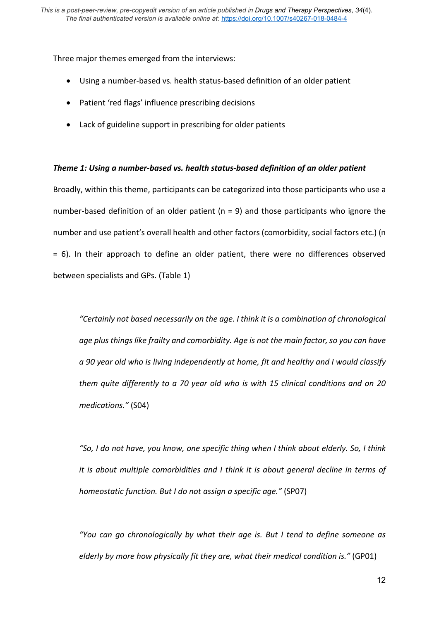Three major themes emerged from the interviews:

- Using a number-based vs. health status-based definition of an older patient
- Patient 'red flags' influence prescribing decisions
- Lack of guideline support in prescribing for older patients

### *Theme 1: Using a number-based vs. health status-based definition of an older patient*

Broadly, within this theme, participants can be categorized into those participants who use a number-based definition of an older patient ( $n = 9$ ) and those participants who ignore the number and use patient's overall health and other factors (comorbidity, social factors etc.) (n = 6). In their approach to define an older patient, there were no differences observed between specialists and GPs. (Table 1)

*"Certainly not based necessarily on the age. I think it is a combination of chronological age plus things like frailty and comorbidity. Age is not the main factor, so you can have a 90 year old who is living independently at home, fit and healthy and I would classify them quite differently to a 70 year old who is with 15 clinical conditions and on 20 medications."* (S04)

*"So, I do not have, you know, one specific thing when I think about elderly. So, I think it is about multiple comorbidities and I think it is about general decline in terms of homeostatic function. But I do not assign a specific age."* (SP07)

*"You can go chronologically by what their age is. But I tend to define someone as elderly by more how physically fit they are, what their medical condition is."* (GP01)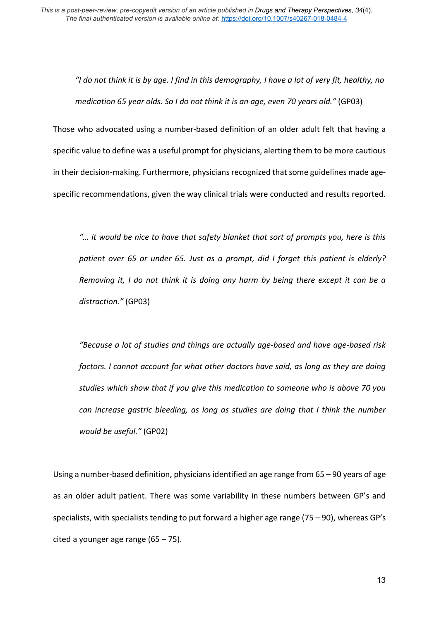*"I do not think it is by age. I find in this demography, I have a lot of very fit, healthy, no medication 65 year olds. So I do not think it is an age, even 70 years old."* (GP03)

Those who advocated using a number-based definition of an older adult felt that having a specific value to define was a useful prompt for physicians, alerting them to be more cautious in their decision-making. Furthermore, physicians recognized that some guidelines made agespecific recommendations, given the way clinical trials were conducted and results reported.

*"… it would be nice to have that safety blanket that sort of prompts you, here is this patient over 65 or under 65. Just as a prompt, did I forget this patient is elderly? Removing it, I do not think it is doing any harm by being there except it can be a distraction."* (GP03)

*"Because a lot of studies and things are actually age-based and have age-based risk factors. I cannot account for what other doctors have said, as long as they are doing studies which show that if you give this medication to someone who is above 70 you can increase gastric bleeding, as long as studies are doing that I think the number would be useful."* (GP02)

Using a number-based definition, physicians identified an age range from 65 – 90 years of age as an older adult patient. There was some variability in these numbers between GP's and specialists, with specialists tending to put forward a higher age range (75 – 90), whereas GP's cited a younger age range  $(65 - 75)$ .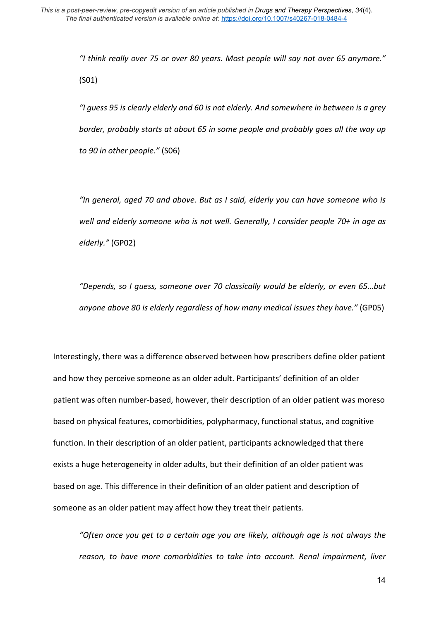*"I think really over 75 or over 80 years. Most people will say not over 65 anymore."* (S01)

*"I guess 95 is clearly elderly and 60 is not elderly. And somewhere in between is a grey border, probably starts at about 65 in some people and probably goes all the way up to 90 in other people."* (S06)

*"In general, aged 70 and above. But as I said, elderly you can have someone who is well and elderly someone who is not well. Generally, I consider people 70+ in age as elderly."* (GP02)

*"Depends, so I guess, someone over 70 classically would be elderly, or even 65…but anyone above 80 is elderly regardless of how many medical issues they have."* (GP05)

Interestingly, there was a difference observed between how prescribers define older patient and how they perceive someone as an older adult. Participants' definition of an older patient was often number-based, however, their description of an older patient was moreso based on physical features, comorbidities, polypharmacy, functional status, and cognitive function. In their description of an older patient, participants acknowledged that there exists a huge heterogeneity in older adults, but their definition of an older patient was based on age. This difference in their definition of an older patient and description of someone as an older patient may affect how they treat their patients.

*"Often once you get to a certain age you are likely, although age is not always the reason, to have more comorbidities to take into account. Renal impairment, liver*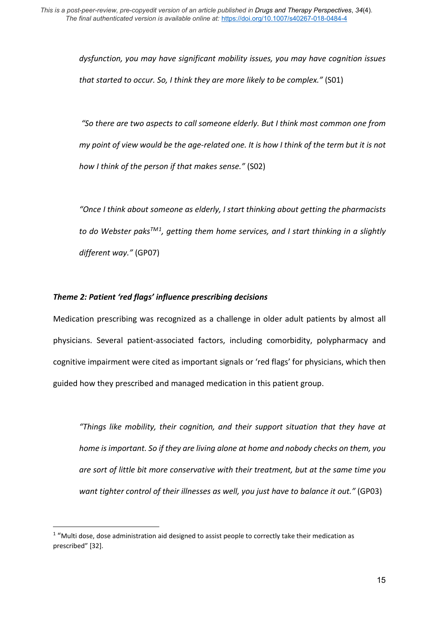*dysfunction, you may have significant mobility issues, you may have cognition issues that started to occur. So, I think they are more likely to be complex."* (S01)

*"So there are two aspects to call someone elderly. But I think most common one from my point of view would be the age-related one. It is how I think of the term but it is not how I think of the person if that makes sense."* (S02)

*"Once I think about someone as elderly, I start thinking about getting the pharmacists to do Webster paksTM[1](#page-15-0), getting them home services, and I start thinking in a slightly different way."* (GP07)

## *Theme 2: Patient 'red flags' influence prescribing decisions*

Medication prescribing was recognized as a challenge in older adult patients by almost all physicians. Several patient-associated factors, including comorbidity, polypharmacy and cognitive impairment were cited as important signals or 'red flags' for physicians, which then guided how they prescribed and managed medication in this patient group.

*"Things like mobility, their cognition, and their support situation that they have at home is important. So if they are living alone at home and nobody checks on them, you are sort of little bit more conservative with their treatment, but at the same time you want tighter control of their illnesses as well, you just have to balance it out."* (GP03)

<span id="page-15-0"></span> $1$  "Multi dose, dose administration aid designed to assist people to correctly take their medication as prescribed" [32].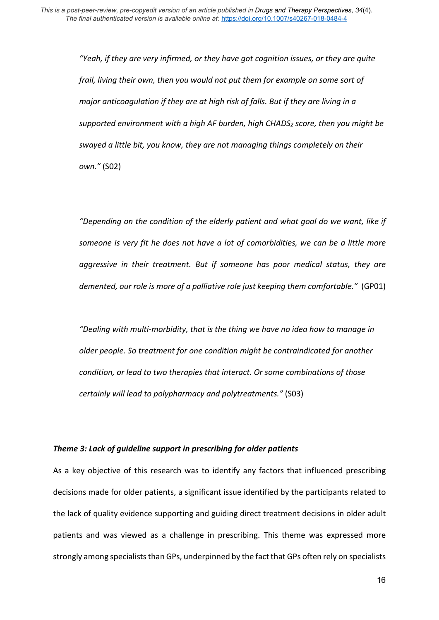*"Yeah, if they are very infirmed, or they have got cognition issues, or they are quite frail, living their own, then you would not put them for example on some sort of major anticoagulation if they are at high risk of falls. But if they are living in a supported environment with a high AF burden, high CHADS2 score, then you might be swayed a little bit, you know, they are not managing things completely on their own."* (S02)

*"Depending on the condition of the elderly patient and what goal do we want, like if someone is very fit he does not have a lot of comorbidities, we can be a little more aggressive in their treatment. But if someone has poor medical status, they are demented, our role is more of a palliative role just keeping them comfortable."* (GP01)

*"Dealing with multi-morbidity, that is the thing we have no idea how to manage in older people. So treatment for one condition might be contraindicated for another condition, or lead to two therapies that interact. Or some combinations of those certainly will lead to polypharmacy and polytreatments."* (S03)

### *Theme 3: Lack of guideline support in prescribing for older patients*

As a key objective of this research was to identify any factors that influenced prescribing decisions made for older patients, a significant issue identified by the participants related to the lack of quality evidence supporting and guiding direct treatment decisions in older adult patients and was viewed as a challenge in prescribing. This theme was expressed more strongly among specialists than GPs, underpinned by the fact that GPs often rely on specialists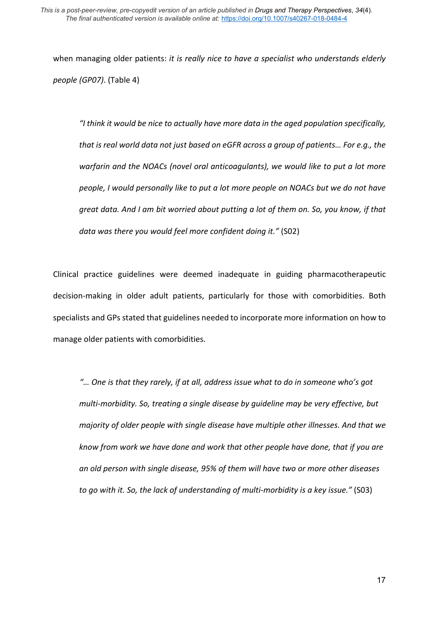when managing older patients: *it is really nice to have a specialist who understands elderly people (GP07)*. (Table 4)

*"I think it would be nice to actually have more data in the aged population specifically, that is real world data not just based on eGFR across a group of patients… For e.g., the warfarin and the NOACs (novel oral anticoagulants), we would like to put a lot more people, I would personally like to put a lot more people on NOACs but we do not have great data. And I am bit worried about putting a lot of them on. So, you know, if that data was there you would feel more confident doing it."* (S02)

Clinical practice guidelines were deemed inadequate in guiding pharmacotherapeutic decision-making in older adult patients, particularly for those with comorbidities. Both specialists and GPs stated that guidelines needed to incorporate more information on how to manage older patients with comorbidities.

*"… One is that they rarely, if at all, address issue what to do in someone who's got multi-morbidity. So, treating a single disease by guideline may be very effective, but majority of older people with single disease have multiple other illnesses. And that we know from work we have done and work that other people have done, that if you are an old person with single disease, 95% of them will have two or more other diseases to go with it. So, the lack of understanding of multi-morbidity is a key issue."* (S03)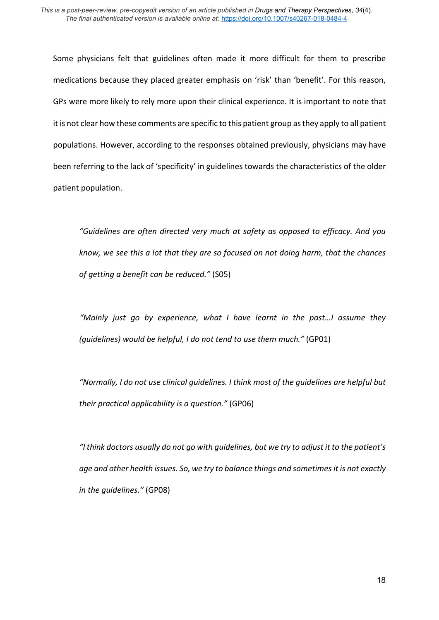Some physicians felt that guidelines often made it more difficult for them to prescribe medications because they placed greater emphasis on 'risk' than 'benefit'. For this reason, GPs were more likely to rely more upon their clinical experience. It is important to note that it is not clear how these comments are specific to this patient group as they apply to all patient populations. However, according to the responses obtained previously, physicians may have been referring to the lack of 'specificity' in guidelines towards the characteristics of the older patient population.

*"Guidelines are often directed very much at safety as opposed to efficacy. And you know, we see this a lot that they are so focused on not doing harm, that the chances of getting a benefit can be reduced."* (S05)

*"Mainly just go by experience, what I have learnt in the past…I assume they (guidelines) would be helpful, I do not tend to use them much."* (GP01)

*"Normally, I do not use clinical guidelines. I think most of the guidelines are helpful but their practical applicability is a question."* (GP06)

*"I think doctors usually do not go with guidelines, but we try to adjust it to the patient's age and other health issues. So, we try to balance things and sometimes it is not exactly in the guidelines."* (GP08)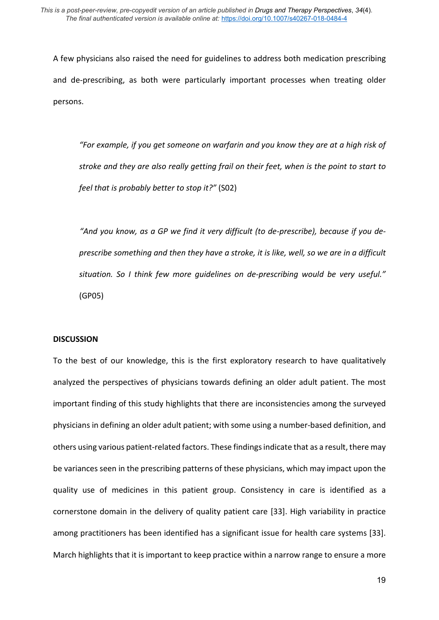A few physicians also raised the need for guidelines to address both medication prescribing and de-prescribing, as both were particularly important processes when treating older persons.

*"For example, if you get someone on warfarin and you know they are at a high risk of stroke and they are also really getting frail on their feet, when is the point to start to feel that is probably better to stop it?"* (S02)

*"And you know, as a GP we find it very difficult (to de-prescribe), because if you deprescribe something and then they have a stroke, it is like, well, so we are in a difficult situation. So I think few more guidelines on de-prescribing would be very useful."* (GP05)

### **DISCUSSION**

To the best of our knowledge, this is the first exploratory research to have qualitatively analyzed the perspectives of physicians towards defining an older adult patient. The most important finding of this study highlights that there are inconsistencies among the surveyed physicians in defining an older adult patient; with some using a number-based definition, and others using various patient-related factors. These findings indicate that as a result, there may be variances seen in the prescribing patterns of these physicians, which may impact upon the quality use of medicines in this patient group. Consistency in care is identified as a cornerstone domain in the delivery of quality patient care [33]. High variability in practice among practitioners has been identified has a significant issue for health care systems [33]. March highlights that it is important to keep practice within a narrow range to ensure a more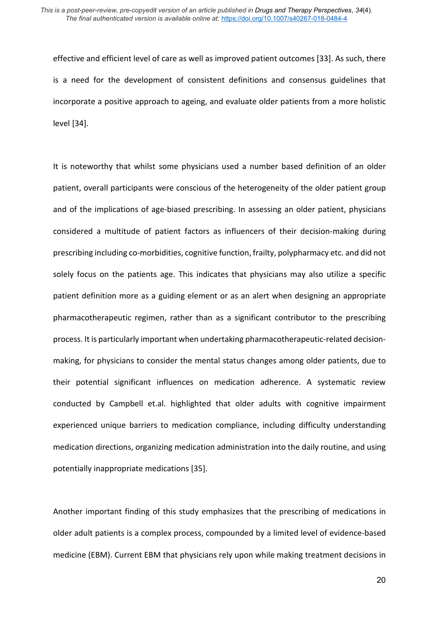effective and efficient level of care as well as improved patient outcomes [33]. As such, there is a need for the development of consistent definitions and consensus guidelines that incorporate a positive approach to ageing, and evaluate older patients from a more holistic level [34].

It is noteworthy that whilst some physicians used a number based definition of an older patient, overall participants were conscious of the heterogeneity of the older patient group and of the implications of age-biased prescribing. In assessing an older patient, physicians considered a multitude of patient factors as influencers of their decision-making during prescribing including co-morbidities, cognitive function, frailty, polypharmacy etc. and did not solely focus on the patients age. This indicates that physicians may also utilize a specific patient definition more as a guiding element or as an alert when designing an appropriate pharmacotherapeutic regimen, rather than as a significant contributor to the prescribing process. It is particularly important when undertaking pharmacotherapeutic-related decisionmaking, for physicians to consider the mental status changes among older patients, due to their potential significant influences on medication adherence. A systematic review conducted by Campbell et.al. highlighted that older adults with cognitive impairment experienced unique barriers to medication compliance, including difficulty understanding medication directions, organizing medication administration into the daily routine, and using potentially inappropriate medications [35].

Another important finding of this study emphasizes that the prescribing of medications in older adult patients is a complex process, compounded by a limited level of evidence-based medicine (EBM). Current EBM that physicians rely upon while making treatment decisions in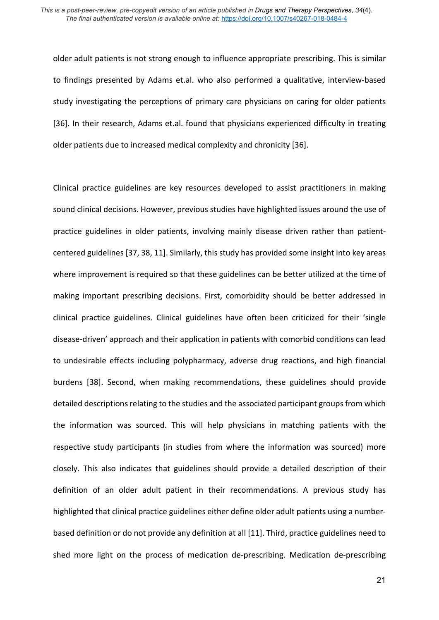older adult patients is not strong enough to influence appropriate prescribing. This is similar to findings presented by Adams et.al. who also performed a qualitative, interview-based study investigating the perceptions of primary care physicians on caring for older patients [36]. In their research, Adams et.al. found that physicians experienced difficulty in treating older patients due to increased medical complexity and chronicity [36].

Clinical practice guidelines are key resources developed to assist practitioners in making sound clinical decisions. However, previous studies have highlighted issues around the use of practice guidelines in older patients, involving mainly disease driven rather than patientcentered guidelines [37, 38, 11]. Similarly, this study has provided some insight into key areas where improvement is required so that these guidelines can be better utilized at the time of making important prescribing decisions. First, comorbidity should be better addressed in clinical practice guidelines. Clinical guidelines have often been criticized for their 'single disease-driven' approach and their application in patients with comorbid conditions can lead to undesirable effects including polypharmacy, adverse drug reactions, and high financial burdens [38]. Second, when making recommendations, these guidelines should provide detailed descriptions relating to the studies and the associated participant groups from which the information was sourced. This will help physicians in matching patients with the respective study participants (in studies from where the information was sourced) more closely. This also indicates that guidelines should provide a detailed description of their definition of an older adult patient in their recommendations. A previous study has highlighted that clinical practice guidelines either define older adult patients using a numberbased definition or do not provide any definition at all [11]. Third, practice guidelines need to shed more light on the process of medication de-prescribing. Medication de-prescribing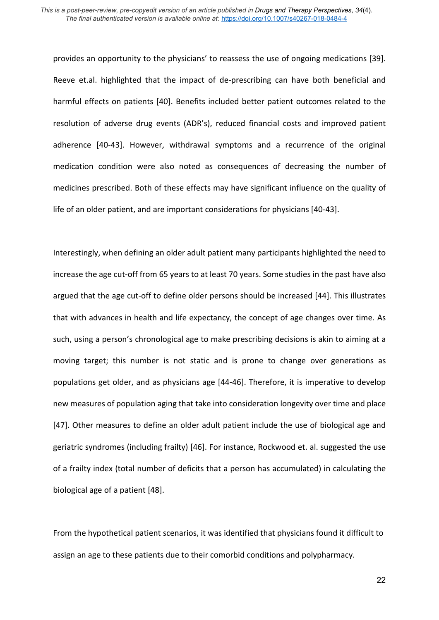provides an opportunity to the physicians' to reassess the use of ongoing medications [39]. Reeve et.al. highlighted that the impact of de-prescribing can have both beneficial and harmful effects on patients [40]. Benefits included better patient outcomes related to the resolution of adverse drug events (ADR's), reduced financial costs and improved patient adherence [40-43]. However, withdrawal symptoms and a recurrence of the original medication condition were also noted as consequences of decreasing the number of medicines prescribed. Both of these effects may have significant influence on the quality of life of an older patient, and are important considerations for physicians [40-43].

Interestingly, when defining an older adult patient many participants highlighted the need to increase the age cut-off from 65 years to at least 70 years. Some studies in the past have also argued that the age cut-off to define older persons should be increased [44]. This illustrates that with advances in health and life expectancy, the concept of age changes over time. As such, using a person's chronological age to make prescribing decisions is akin to aiming at a moving target; this number is not static and is prone to change over generations as populations get older, and as physicians age [44-46]. Therefore, it is imperative to develop new measures of population aging that take into consideration longevity over time and place [47]. Other measures to define an older adult patient include the use of biological age and geriatric syndromes (including frailty) [46]. For instance, Rockwood et. al. suggested the use of a frailty index (total number of deficits that a person has accumulated) in calculating the biological age of a patient [48].

From the hypothetical patient scenarios, it was identified that physicians found it difficult to assign an age to these patients due to their comorbid conditions and polypharmacy.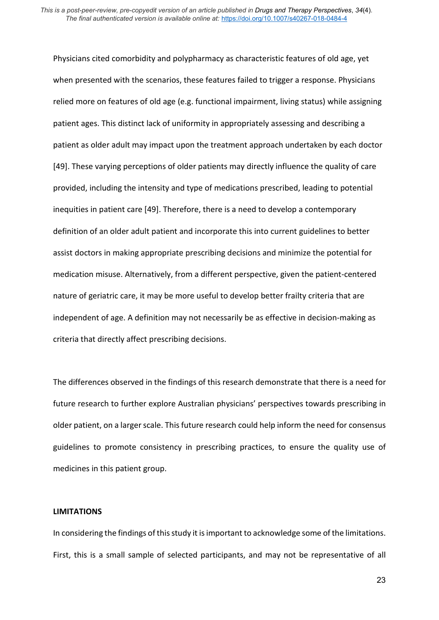Physicians cited comorbidity and polypharmacy as characteristic features of old age, yet when presented with the scenarios, these features failed to trigger a response. Physicians relied more on features of old age (e.g. functional impairment, living status) while assigning patient ages. This distinct lack of uniformity in appropriately assessing and describing a patient as older adult may impact upon the treatment approach undertaken by each doctor [49]. These varying perceptions of older patients may directly influence the quality of care provided, including the intensity and type of medications prescribed, leading to potential inequities in patient care [49]. Therefore, there is a need to develop a contemporary definition of an older adult patient and incorporate this into current guidelines to better assist doctors in making appropriate prescribing decisions and minimize the potential for medication misuse. Alternatively, from a different perspective, given the patient-centered nature of geriatric care, it may be more useful to develop better frailty criteria that are independent of age. A definition may not necessarily be as effective in decision-making as criteria that directly affect prescribing decisions.

The differences observed in the findings of this research demonstrate that there is a need for future research to further explore Australian physicians' perspectives towards prescribing in older patient, on a larger scale. This future research could help inform the need for consensus guidelines to promote consistency in prescribing practices, to ensure the quality use of medicines in this patient group.

### **LIMITATIONS**

In considering the findings of this study it is important to acknowledge some of the limitations. First, this is a small sample of selected participants, and may not be representative of all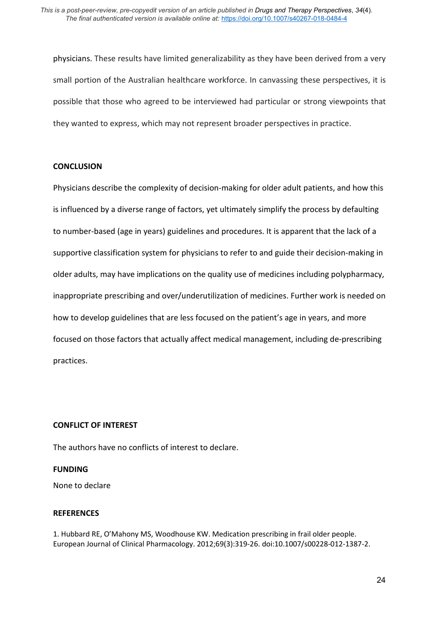physicians. These results have limited generalizability as they have been derived from a very small portion of the Australian healthcare workforce. In canvassing these perspectives, it is possible that those who agreed to be interviewed had particular or strong viewpoints that they wanted to express, which may not represent broader perspectives in practice.

## **CONCLUSION**

Physicians describe the complexity of decision-making for older adult patients, and how this is influenced by a diverse range of factors, yet ultimately simplify the process by defaulting to number-based (age in years) guidelines and procedures. It is apparent that the lack of a supportive classification system for physicians to refer to and guide their decision-making in older adults, may have implications on the quality use of medicines including polypharmacy, inappropriate prescribing and over/underutilization of medicines. Further work is needed on how to develop guidelines that are less focused on the patient's age in years, and more focused on those factors that actually affect medical management, including de-prescribing practices.

## **CONFLICT OF INTEREST**

The authors have no conflicts of interest to declare.

### **FUNDING**

None to declare

# **REFERENCES**

1. Hubbard RE, O'Mahony MS, Woodhouse KW. Medication prescribing in frail older people. European Journal of Clinical Pharmacology. 2012;69(3):319-26. doi:10.1007/s00228-012-1387-2.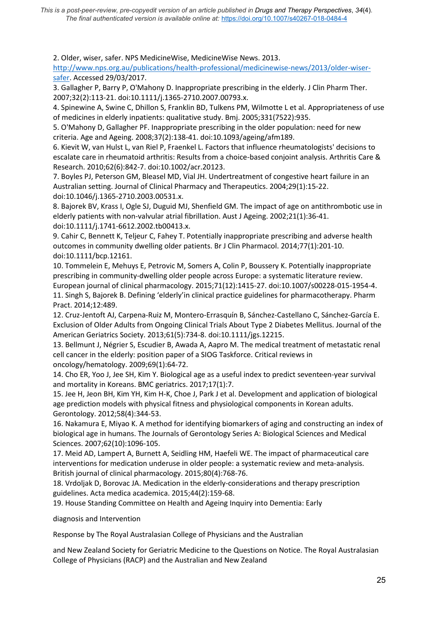*This is a post-peer-review, pre-copyedit version of an article published in Drugs and Therapy Perspectives*, *34*(4)*. The final authenticated version is available online at:* <https://doi.org/10.1007/s40267-018-0484-4>

2. Older, wiser, safer. NPS MedicineWise, MedicineWise News. 2013.

[http://www.nps.org.au/publications/health-professional/medicinewise-news/2013/older-wiser](http://www.nps.org.au/publications/health-professional/medicinewise-news/2013/older-wiser-safer)[safer.](http://www.nps.org.au/publications/health-professional/medicinewise-news/2013/older-wiser-safer) Accessed 29/03/2017.

3. Gallagher P, Barry P, O'Mahony D. Inappropriate prescribing in the elderly. J Clin Pharm Ther. 2007;32(2):113-21. doi:10.1111/j.1365-2710.2007.00793.x.

4. Spinewine A, Swine C, Dhillon S, Franklin BD, Tulkens PM, Wilmotte L et al. Appropriateness of use of medicines in elderly inpatients: qualitative study. Bmj. 2005;331(7522):935.

5. O'Mahony D, Gallagher PF. Inappropriate prescribing in the older population: need for new criteria. Age and Ageing. 2008;37(2):138-41. doi:10.1093/ageing/afm189.

6. Kievit W, van Hulst L, van Riel P, Fraenkel L. Factors that influence rheumatologists' decisions to escalate care in rheumatoid arthritis: Results from a choice-based conjoint analysis. Arthritis Care & Research. 2010;62(6):842-7. doi:10.1002/acr.20123.

7. Boyles PJ, Peterson GM, Bleasel MD, Vial JH. Undertreatment of congestive heart failure in an Australian setting. Journal of Clinical Pharmacy and Therapeutics. 2004;29(1):15-22. doi:10.1046/j.1365-2710.2003.00531.x.

8. Bajorek BV, Krass I, Ogle SJ, Duguid MJ, Shenfield GM. The impact of age on antithrombotic use in elderly patients with non-valvular atrial fibrillation. Aust J Ageing. 2002;21(1):36-41. doi:10.1111/j.1741-6612.2002.tb00413.x.

9. Cahir C, Bennett K, Teljeur C, Fahey T. Potentially inappropriate prescribing and adverse health outcomes in community dwelling older patients. Br J Clin Pharmacol. 2014;77(1):201-10. doi:10.1111/bcp.12161.

10. Tommelein E, Mehuys E, Petrovic M, Somers A, Colin P, Boussery K. Potentially inappropriate prescribing in community-dwelling older people across Europe: a systematic literature review. European journal of clinical pharmacology. 2015;71(12):1415-27. doi:10.1007/s00228-015-1954-4. 11. Singh S, Bajorek B. Defining 'elderly'in clinical practice guidelines for pharmacotherapy. Pharm Pract. 2014;12:489.

12. Cruz-Jentoft AJ, Carpena-Ruiz M, Montero-Errasquín B, Sánchez-Castellano C, Sánchez-García E. Exclusion of Older Adults from Ongoing Clinical Trials About Type 2 Diabetes Mellitus. Journal of the American Geriatrics Society. 2013;61(5):734-8. doi:10.1111/jgs.12215.

13. Bellmunt J, Négrier S, Escudier B, Awada A, Aapro M. The medical treatment of metastatic renal cell cancer in the elderly: position paper of a SIOG Taskforce. Critical reviews in oncology/hematology. 2009;69(1):64-72.

14. Cho ER, Yoo J, Jee SH, Kim Y. Biological age as a useful index to predict seventeen-year survival and mortality in Koreans. BMC geriatrics. 2017;17(1):7.

15. Jee H, Jeon BH, Kim YH, Kim H-K, Choe J, Park J et al. Development and application of biological age prediction models with physical fitness and physiological components in Korean adults. Gerontology. 2012;58(4):344-53.

16. Nakamura E, Miyao K. A method for identifying biomarkers of aging and constructing an index of biological age in humans. The Journals of Gerontology Series A: Biological Sciences and Medical Sciences. 2007;62(10):1096-105.

17. Meid AD, Lampert A, Burnett A, Seidling HM, Haefeli WE. The impact of pharmaceutical care interventions for medication underuse in older people: a systematic review and meta-analysis. British journal of clinical pharmacology. 2015;80(4):768-76.

18. Vrdoljak D, Borovac JA. Medication in the elderly-considerations and therapy prescription guidelines. Acta medica academica. 2015;44(2):159-68.

19. House Standing Committee on Health and Ageing Inquiry into Dementia: Early

diagnosis and Intervention

Response by The Royal Australasian College of Physicians and the Australian

and New Zealand Society for Geriatric Medicine to the Questions on Notice. The Royal Australasian College of Physicians (RACP) and the Australian and New Zealand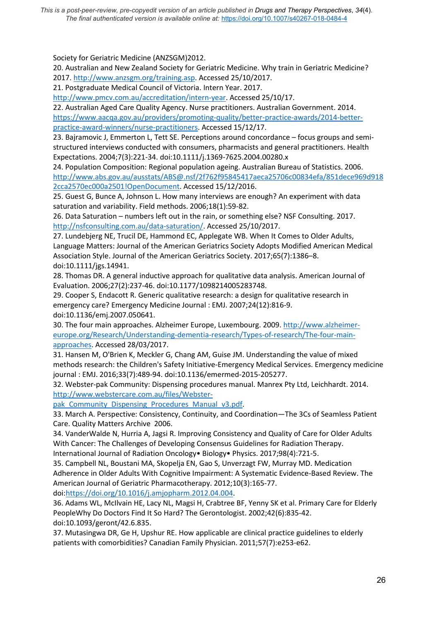*This is a post-peer-review, pre-copyedit version of an article published in Drugs and Therapy Perspectives*, *34*(4)*. The final authenticated version is available online at:* <https://doi.org/10.1007/s40267-018-0484-4>

Society for Geriatric Medicine (ANZSGM)2012.

20. Australian and New Zealand Society for Geriatric Medicine. Why train in Geriatric Medicine? 2017[. http://www.anzsgm.org/training.asp.](http://www.anzsgm.org/training.asp) Accessed 25/10/2017.

21. Postgraduate Medical Council of Victoria. Intern Year. 2017.

[http://www.pmcv.com.au/accreditation/intern-year.](http://www.pmcv.com.au/accreditation/intern-year) Accessed 25/10/17.

22. Australian Aged Care Quality Agency. Nurse practitioners. Australian Government. 2014. [https://www.aacqa.gov.au/providers/promoting-quality/better-practice-awards/2014-better](https://www.aacqa.gov.au/providers/promoting-quality/better-practice-awards/2014-better-practice-award-winners/nurse-practitioners)[practice-award-winners/nurse-practitioners.](https://www.aacqa.gov.au/providers/promoting-quality/better-practice-awards/2014-better-practice-award-winners/nurse-practitioners) Accessed 15/12/17.

23. Bajramovic J, Emmerton L, Tett SE. Perceptions around concordance – focus groups and semistructured interviews conducted with consumers, pharmacists and general practitioners. Health Expectations. 2004;7(3):221-34. doi:10.1111/j.1369-7625.2004.00280.x

24. Population Composition: Regional population ageing. Australian Bureau of Statistics. 2006. [http://www.abs.gov.au/ausstats/ABS@.nsf/2f762f95845417aeca25706c00834efa/851dece969d918](http://www.abs.gov.au/ausstats/ABS@.nsf/2f762f95845417aeca25706c00834efa/851dece969d9182cca2570ec000a2501!OpenDocument) [2cca2570ec000a2501!OpenDocument.](http://www.abs.gov.au/ausstats/ABS@.nsf/2f762f95845417aeca25706c00834efa/851dece969d9182cca2570ec000a2501!OpenDocument) Accessed 15/12/2016.

25. Guest G, Bunce A, Johnson L. How many interviews are enough? An experiment with data saturation and variability. Field methods. 2006;18(1):59-82.

26. Data Saturation – numbers left out in the rain, or something else? NSF Consulting. 2017. [http://nsfconsulting.com.au/data-saturation/.](http://nsfconsulting.com.au/data-saturation/) Accessed 25/10/2017.

27. Lundebjerg NE, Trucil DE, Hammond EC, Applegate WB. When It Comes to Older Adults, Language Matters: Journal of the American Geriatrics Society Adopts Modified American Medical Association Style. Journal of the American Geriatrics Society. 2017;65(7):1386–8. doi:10.1111/jgs.14941.

28. Thomas DR. A general inductive approach for qualitative data analysis. American Journal of Evaluation. 2006;27(2):237-46. doi:10.1177/1098214005283748.

29. Cooper S, Endacott R. Generic qualitative research: a design for qualitative research in emergency care? Emergency Medicine Journal : EMJ. 2007;24(12):816-9. doi:10.1136/emj.2007.050641.

30. The four main approaches. Alzheimer Europe, Luxembourg. 2009. [http://www.alzheimer](http://www.alzheimer-europe.org/Research/Understanding-dementia-research/Types-of-research/The-four-main-approaches)[europe.org/Research/Understanding-dementia-research/Types-of-research/The-four-main](http://www.alzheimer-europe.org/Research/Understanding-dementia-research/Types-of-research/The-four-main-approaches)[approaches.](http://www.alzheimer-europe.org/Research/Understanding-dementia-research/Types-of-research/The-four-main-approaches) Accessed 28/03/2017.

31. Hansen M, O'Brien K, Meckler G, Chang AM, Guise JM. Understanding the value of mixed methods research: the Children's Safety Initiative-Emergency Medical Services. Emergency medicine journal : EMJ. 2016;33(7):489-94. doi:10.1136/emermed-2015-205277.

32. Webster-pak Community: Dispensing procedures manual. Manrex Pty Ltd, Leichhardt. 2014. [http://www.webstercare.com.au/files/Webster-](http://www.webstercare.com.au/files/Webster-pak_Community_Dispensing_Procedures_Manual_v3.pdf)

pak Community Dispensing Procedures Manual v3.pdf.

33. March A. Perspective: Consistency, Continuity, and Coordination—The 3Cs of Seamless Patient Care. Quality Matters Archive 2006.

34. VanderWalde N, Hurria A, Jagsi R. Improving Consistency and Quality of Care for Older Adults With Cancer: The Challenges of Developing Consensus Guidelines for Radiation Therapy. International Journal of Radiation Oncology• Biology• Physics. 2017;98(4):721-5.

35. Campbell NL, Boustani MA, Skopelja EN, Gao S, Unverzagt FW, Murray MD. Medication Adherence in Older Adults With Cognitive Impairment: A Systematic Evidence-Based Review. The American Journal of Geriatric Pharmacotherapy. 2012;10(3):165-77.

doi[:https://doi.org/10.1016/j.amjopharm.2012.04.004.](https://doi.org/10.1016/j.amjopharm.2012.04.004)

36. Adams WL, McIlvain HE, Lacy NL, Magsi H, Crabtree BF, Yenny SK et al. Primary Care for Elderly PeopleWhy Do Doctors Find It So Hard? The Gerontologist. 2002;42(6):835-42. doi:10.1093/geront/42.6.835.

37. Mutasingwa DR, Ge H, Upshur RE. How applicable are clinical practice guidelines to elderly patients with comorbidities? Canadian Family Physician. 2011;57(7):e253-e62.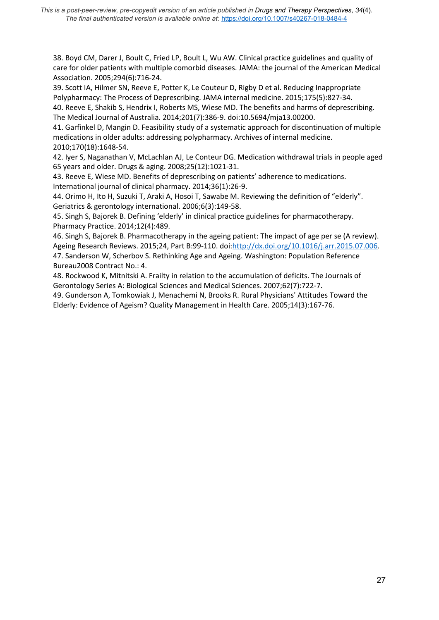38. Boyd CM, Darer J, Boult C, Fried LP, Boult L, Wu AW. Clinical practice guidelines and quality of care for older patients with multiple comorbid diseases. JAMA: the journal of the American Medical Association. 2005;294(6):716-24.

39. Scott IA, Hilmer SN, Reeve E, Potter K, Le Couteur D, Rigby D et al. Reducing Inappropriate Polypharmacy: The Process of Deprescribing. JAMA internal medicine. 2015;175(5):827-34. 40. Reeve E, Shakib S, Hendrix I, Roberts MS, Wiese MD. The benefits and harms of deprescribing.

The Medical Journal of Australia. 2014;201(7):386-9. doi:10.5694/mja13.00200.

41. Garfinkel D, Mangin D. Feasibility study of a systematic approach for discontinuation of multiple medications in older adults: addressing polypharmacy. Archives of internal medicine. 2010;170(18):1648-54.

42. Iyer S, Naganathan V, McLachlan AJ, Le Conteur DG. Medication withdrawal trials in people aged 65 years and older. Drugs & aging. 2008;25(12):1021-31.

43. Reeve E, Wiese MD. Benefits of deprescribing on patients' adherence to medications. International journal of clinical pharmacy. 2014;36(1):26-9.

44. Orimo H, Ito H, Suzuki T, Araki A, Hosoi T, Sawabe M. Reviewing the definition of "elderly". Geriatrics & gerontology international. 2006;6(3):149-58.

45. Singh S, Bajorek B. Defining 'elderly' in clinical practice guidelines for pharmacotherapy. Pharmacy Practice. 2014;12(4):489.

46. Singh S, Bajorek B. Pharmacotherapy in the ageing patient: The impact of age per se (A review). Ageing Research Reviews. 2015;24, Part B:99-110. doi[:http://dx.doi.org/10.1016/j.arr.2015.07.006.](http://dx.doi.org/10.1016/j.arr.2015.07.006) 47. Sanderson W, Scherbov S. Rethinking Age and Ageing. Washington: Population Reference Bureau2008 Contract No.: 4.

48. Rockwood K, Mitnitski A. Frailty in relation to the accumulation of deficits. The Journals of Gerontology Series A: Biological Sciences and Medical Sciences. 2007;62(7):722-7.

49. Gunderson A, Tomkowiak J, Menachemi N, Brooks R. Rural Physicians' Attitudes Toward the Elderly: Evidence of Ageism? Quality Management in Health Care. 2005;14(3):167-76.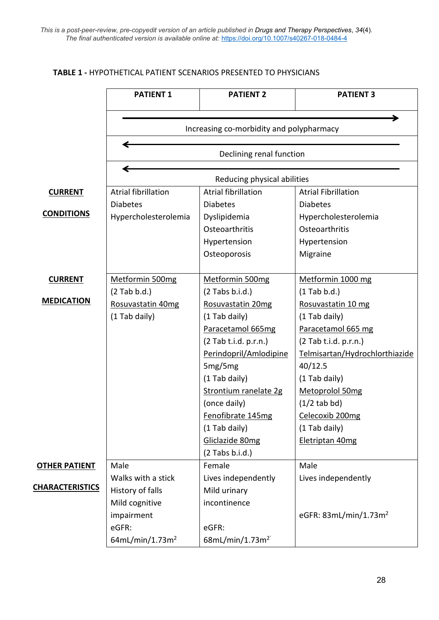# **TABLE 1 -** HYPOTHETICAL PATIENT SCENARIOS PRESENTED TO PHYSICIANS

|                        | <b>PATIENT 1</b>                                        | <b>PATIENT 2</b>            | <b>PATIENT 3</b>                  |  |
|------------------------|---------------------------------------------------------|-----------------------------|-----------------------------------|--|
|                        | Increasing co-morbidity and polypharmacy                |                             |                                   |  |
|                        | Declining renal function<br>Reducing physical abilities |                             |                                   |  |
|                        |                                                         |                             |                                   |  |
| <b>CURRENT</b>         | <b>Atrial fibrillation</b>                              | <b>Atrial fibrillation</b>  | <b>Atrial Fibrillation</b>        |  |
|                        | <b>Diabetes</b>                                         | <b>Diabetes</b>             | <b>Diabetes</b>                   |  |
| <b>CONDITIONS</b>      | Hypercholesterolemia                                    | Dyslipidemia                | Hypercholesterolemia              |  |
|                        |                                                         | Osteoarthritis              | Osteoarthritis                    |  |
|                        |                                                         | Hypertension                | Hypertension                      |  |
|                        |                                                         | Osteoporosis                | Migraine                          |  |
|                        |                                                         |                             |                                   |  |
| <b>CURRENT</b>         | Metformin 500mg                                         | Metformin 500mg             | Metformin 1000 mg                 |  |
|                        | $(2$ Tab b.d.)                                          | $(2$ Tabs b.i.d.)           | $(1$ Tab b.d.)                    |  |
| <b>MEDICATION</b>      | Rosuvastatin 40mg                                       | Rosuvastatin 20mg           | Rosuvastatin 10 mg                |  |
|                        | (1 Tab daily)                                           | (1 Tab daily)               | (1 Tab daily)                     |  |
|                        |                                                         | Paracetamol 665mg           | Paracetamol 665 mg                |  |
|                        |                                                         |                             |                                   |  |
|                        |                                                         | (2 Tab t.i.d. p.r.n.)       | $(2$ Tab t.i.d. p.r.n.)           |  |
|                        |                                                         | Perindopril/Amlodipine      | Telmisartan/Hydrochlorthiazide    |  |
|                        |                                                         | 5mg/5mg                     | 40/12.5                           |  |
|                        |                                                         | (1 Tab daily)               | (1 Tab daily)                     |  |
|                        |                                                         | Strontium ranelate 2g       | Metoprolol 50mg                   |  |
|                        |                                                         | (once daily)                | $(1/2$ tab bd)                    |  |
|                        |                                                         | Fenofibrate 145mg           | Celecoxib 200mg                   |  |
|                        |                                                         | (1 Tab daily)               | (1 Tab daily)                     |  |
|                        |                                                         | Gliclazide 80mg             | Eletriptan 40mg                   |  |
|                        |                                                         | $(2$ Tabs b.i.d.)           |                                   |  |
| <b>OTHER PATIENT</b>   | Male                                                    | Female                      | Male                              |  |
|                        | Walks with a stick                                      | Lives independently         | Lives independently               |  |
| <b>CHARACTERISTICS</b> | History of falls                                        | Mild urinary                |                                   |  |
|                        | Mild cognitive                                          | incontinence                |                                   |  |
|                        | impairment                                              |                             | eGFR: 83mL/min/1.73m <sup>2</sup> |  |
|                        | eGFR:                                                   | eGFR:                       |                                   |  |
|                        | 64mL/min/1.73m <sup>2</sup>                             | 68mL/min/1.73m <sup>2</sup> |                                   |  |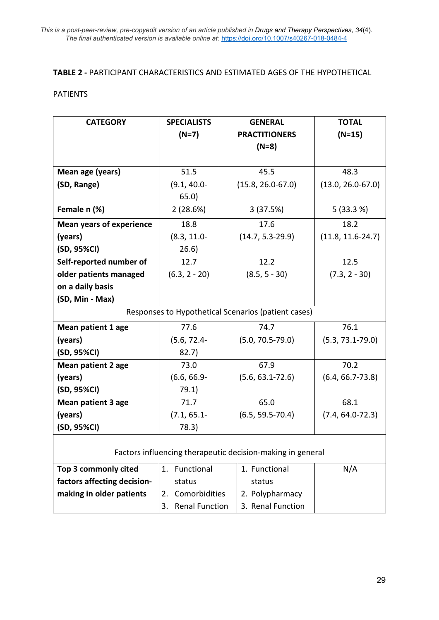# **TABLE 2 -** PARTICIPANT CHARACTERISTICS AND ESTIMATED AGES OF THE HYPOTHETICAL

# PATIENTS

| <b>CATEGORY</b>                                            | <b>SPECIALISTS</b>          | <b>GENERAL</b>        | <b>TOTAL</b>          |  |  |
|------------------------------------------------------------|-----------------------------|-----------------------|-----------------------|--|--|
|                                                            | $(N=7)$                     | <b>PRACTITIONERS</b>  | $(N=15)$              |  |  |
|                                                            |                             | $(N=8)$               |                       |  |  |
|                                                            |                             |                       |                       |  |  |
| Mean age (years)                                           | 51.5                        | 45.5                  | 48.3                  |  |  |
| (SD, Range)                                                | $(9.1, 40.0 -$              | $(15.8, 26.0 - 67.0)$ | $(13.0, 26.0 - 67.0)$ |  |  |
|                                                            | 65.0)                       |                       |                       |  |  |
| Female n (%)                                               | 2(28.6%)                    | 3(37.5%)              | 5(33.3%)              |  |  |
| <b>Mean years of experience</b>                            | 18.8                        | 17.6                  | 18.2                  |  |  |
| (years)                                                    | $(8.3, 11.0 -$              | $(14.7, 5.3 - 29.9)$  | $(11.8, 11.6-24.7)$   |  |  |
| (SD, 95%CI)                                                | 26.6)                       |                       |                       |  |  |
| Self-reported number of                                    | 12.7                        | 12.2                  | 12.5                  |  |  |
| older patients managed                                     | $(6.3, 2 - 20)$             | $(8.5, 5 - 30)$       | $(7.3, 2 - 30)$       |  |  |
| on a daily basis                                           |                             |                       |                       |  |  |
| (SD, Min - Max)                                            |                             |                       |                       |  |  |
| Responses to Hypothetical Scenarios (patient cases)        |                             |                       |                       |  |  |
| <b>Mean patient 1 age</b>                                  | 77.6                        | 74.7                  | 76.1                  |  |  |
| (years)                                                    | $(5.6, 72.4 -$              | $(5.0, 70.5 - 79.0)$  | $(5.3, 73.1 - 79.0)$  |  |  |
| (SD, 95%CI)                                                | 82.7)                       |                       |                       |  |  |
| <b>Mean patient 2 age</b>                                  | 73.0                        | 67.9                  | 70.2                  |  |  |
| (years)                                                    | $(6.6, 66.9 -$              | $(5.6, 63.1 - 72.6)$  | $(6.4, 66.7 - 73.8)$  |  |  |
| (SD, 95%CI)                                                | 79.1)                       |                       |                       |  |  |
| <b>Mean patient 3 age</b>                                  | 71.7                        | 65.0                  | 68.1                  |  |  |
| (years)                                                    | $(7.1, 65.1 -$              | $(6.5, 59.5 - 70.4)$  | $(7.4, 64.0 - 72.3)$  |  |  |
| (SD, 95%CI)                                                | 78.3)                       |                       |                       |  |  |
|                                                            |                             |                       |                       |  |  |
| Factors influencing therapeutic decision-making in general |                             |                       |                       |  |  |
| Top 3 commonly cited                                       | 1. Functional               | 1. Functional         | N/A                   |  |  |
| factors affecting decision-                                | status                      |                       |                       |  |  |
| making in older patients                                   | Comorbidities<br>2.         | 2. Polypharmacy       |                       |  |  |
|                                                            | <b>Renal Function</b><br>3. | 3. Renal Function     |                       |  |  |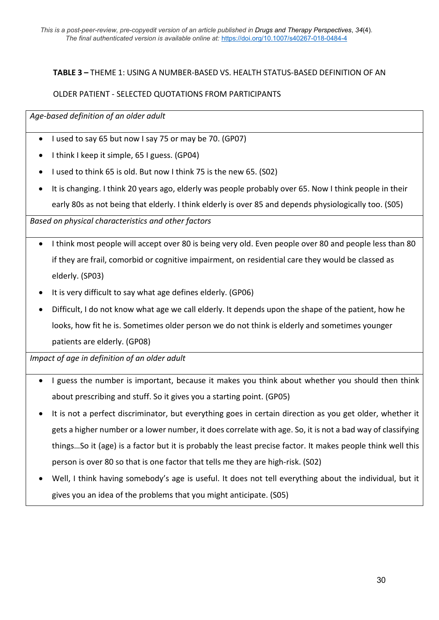# **TABLE 3 –** THEME 1: USING A NUMBER-BASED VS. HEALTH STATUS-BASED DEFINITION OF AN

# OLDER PATIENT - SELECTED QUOTATIONS FROM PARTICIPANTS

*Age-based definition of an older adult*

- I used to say 65 but now I say 75 or may be 70. (GP07)
- I think I keep it simple, 65 I guess. (GP04)
- I used to think 65 is old. But now I think 75 is the new 65. (S02)
- It is changing. I think 20 years ago, elderly was people probably over 65. Now I think people in their early 80s as not being that elderly. I think elderly is over 85 and depends physiologically too. (S05)

*Based on physical characteristics and other factors*

- I think most people will accept over 80 is being very old. Even people over 80 and people less than 80 if they are frail, comorbid or cognitive impairment, on residential care they would be classed as elderly. (SP03)
- It is very difficult to say what age defines elderly. (GP06)
- Difficult, I do not know what age we call elderly. It depends upon the shape of the patient, how he looks, how fit he is. Sometimes older person we do not think is elderly and sometimes younger patients are elderly. (GP08)

*Impact of age in definition of an older adult*

- I guess the number is important, because it makes you think about whether you should then think about prescribing and stuff. So it gives you a starting point. (GP05)
- It is not a perfect discriminator, but everything goes in certain direction as you get older, whether it gets a higher number or a lower number, it does correlate with age. So, it is not a bad way of classifying things…So it (age) is a factor but it is probably the least precise factor. It makes people think well this person is over 80 so that is one factor that tells me they are high-risk. (S02)
- Well, I think having somebody's age is useful. It does not tell everything about the individual, but it gives you an idea of the problems that you might anticipate. (S05)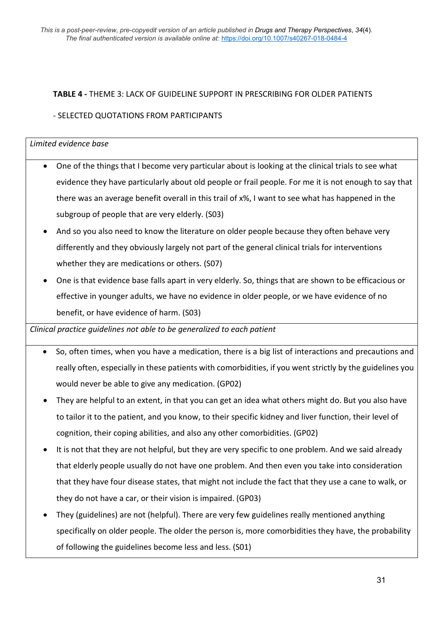# **TABLE 4 -** THEME 3: LACK OF GUIDELINE SUPPORT IN PRESCRIBING FOR OLDER PATIENTS

# - SELECTED QUOTATIONS FROM PARTICIPANTS

# *Limited evidence base*

- One of the things that I become very particular about is looking at the clinical trials to see what evidence they have particularly about old people or frail people. For me it is not enough to say that there was an average benefit overall in this trail of x%, I want to see what has happened in the subgroup of people that are very elderly. (S03)
- And so you also need to know the literature on older people because they often behave very differently and they obviously largely not part of the general clinical trials for interventions whether they are medications or others. (S07)
- One is that evidence base falls apart in very elderly. So, things that are shown to be efficacious or effective in younger adults, we have no evidence in older people, or we have evidence of no benefit, or have evidence of harm. (S03)

*Clinical practice guidelines not able to be generalized to each patient*

- So, often times, when you have a medication, there is a big list of interactions and precautions and really often, especially in these patients with comorbidities, if you went strictly by the guidelines you would never be able to give any medication. (GP02)
- They are helpful to an extent, in that you can get an idea what others might do. But you also have to tailor it to the patient, and you know, to their specific kidney and liver function, their level of cognition, their coping abilities, and also any other comorbidities. (GP02)
- It is not that they are not helpful, but they are very specific to one problem. And we said already that elderly people usually do not have one problem. And then even you take into consideration that they have four disease states, that might not include the fact that they use a cane to walk, or they do not have a car, or their vision is impaired. (GP03)
- They (guidelines) are not (helpful). There are very few guidelines really mentioned anything specifically on older people. The older the person is, more comorbidities they have, the probability of following the guidelines become less and less. (S01)